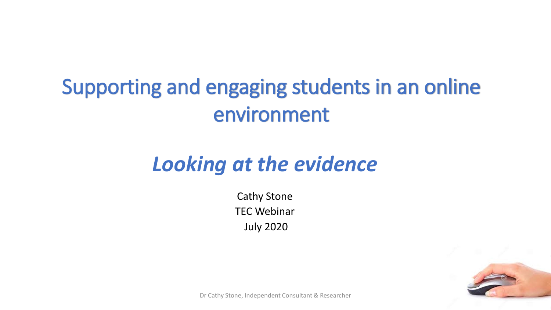# Supporting and engaging students in an online environment

# *Looking at the evidence*

Cathy Stone TEC Webinar July 2020



Dr Cathy Stone, Independent Consultant & Researcher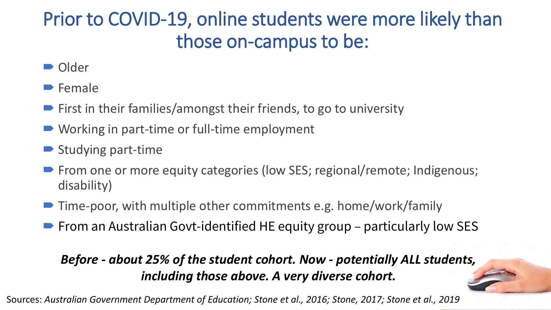## Prior to COVID-19, online students were more likely than those on-campus to be:

- Older
- **Female**
- $\blacktriangleright$  First in their families/amongst their friends, to go to university
- Working in part-time or full-time employment
- $\blacktriangleright$  Studying part-time
- **Fig. 2** From one or more equity categories (low SES; regional/remote; Indigenous; disability)
- Time-poor, with multiple other commitments e.g. home/work/family
- $\blacktriangleright$  From an Australian Govt-identified HE equity group particularly low SES

### *Before - about 25% of the student cohort. Now - potentially ALL students, including those above. A very diverse cohort.*

Sources: *Australian Government Department of Education; Stone et al., 2016; Stone, 2017; Stone et al., 2019*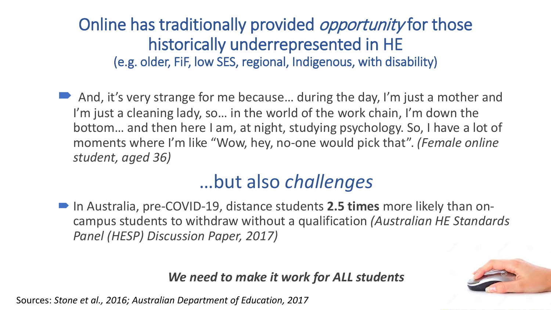Online has traditionally provided *opportunity* for those historically underrepresented in HE (e.g. older, FiF, low SES, regional, Indigenous, with disability)

■ And, it's very strange for me because... during the day, I'm just a mother and I'm just a cleaning lady, so... in the world of the work chain, I'm down the bottom… and then here I am, at night, studying psychology. So, I have a lot of moments where I'm like "Wow, hey, no-one would pick that". *(Female online student, aged 36)*

## …but also *challenges*

 In Australia, pre-COVID-19, distance students **2.5 times** more likely than oncampus students to withdraw without a qualification *(Australian HE Standards Panel (HESP) Discussion Paper, 2017)* 

### *We need to make it work for ALL students*

Sources: *Stone et al., 2016; Australian Department of Education, 2017*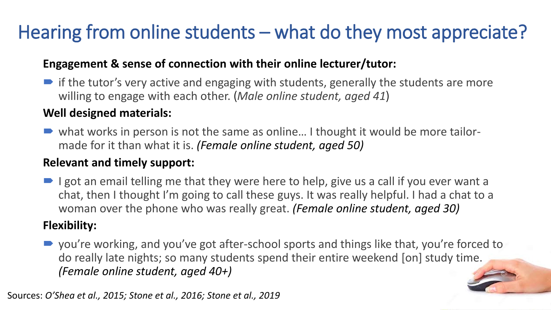# Hearing from online students – what do they most appreciate?

### **Engagement & sense of connection with their online lecturer/tutor:**

 $\blacktriangleright$  if the tutor's very active and engaging with students, generally the students are more willing to engage with each other. (*Male online student, aged 41*)

#### **Well designed materials:**

■ what works in person is not the same as online... I thought it would be more tailormade for it than what it is. *(Female online student, aged 50)*

### **Relevant and timely support:**

 $\blacksquare$  I got an email telling me that they were here to help, give us a call if you ever want a chat, then I thought I'm going to call these guys. It was really helpful. I had a chat to a woman over the phone who was really great. *(Female online student, aged 30)*

### **Flexibility:**

■ you're working, and you've got after-school sports and things like that, you're forced to do really late nights; so many students spend their entire weekend [on] study time. *(Female online student, aged 40+)*

Sources: *O'Shea et al., 2015; Stone et al., 2016; Stone et al., 2019*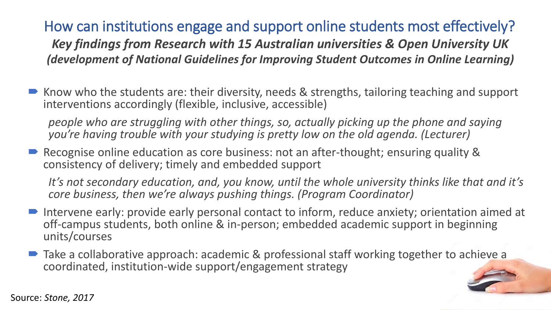### How can institutions engage and support online students most effectively? *Key findings from Research with 15 Australian universities & Open University UK (development of National Guidelines for Improving Student Outcomes in Online Learning)*

 Know who the students are: their diversity, needs & strengths, tailoring teaching and support interventions accordingly (flexible, inclusive, accessible)

*people who are struggling with other things, so, actually picking up the phone and saying you're having trouble with your studying is pretty low on the old agenda. (Lecturer)*

 Recognise online education as core business: not an after-thought; ensuring quality & consistency of delivery; timely and embedded support

*It's not secondary education, and, you know, until the whole university thinks like that and it's core business, then we're always pushing things. (Program Coordinator)*

- Intervene early: provide early personal contact to inform, reduce anxiety; orientation aimed at off-campus students, both online & in-person; embedded academic support in beginning units/courses
- Take a collaborative approach: academic & professional staff working together to achieve a coordinated, institution-wide support/engagement strategy

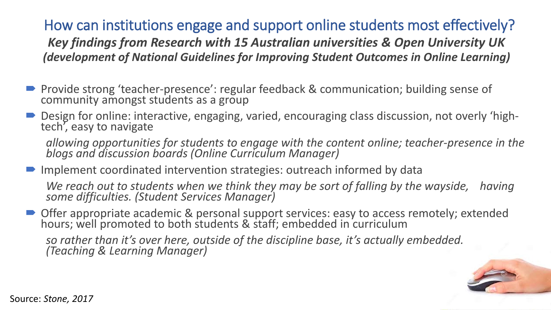How can institutions engage and support online students most effectively? *Key findings from Research with 15 Australian universities & Open University UK (development of National Guidelines for Improving Student Outcomes in Online Learning)*

- Provide strong 'teacher-presence': regular feedback & communication; building sense of community amongst students as a group
- Design for online: interactive, engaging, varied, encouraging class discussion, not overly 'high-<br>tech', easy to navigate

*allowing opportunities for students to engage with the content online; teacher-presence in the blogs and discussion boards (Online Curriculum Manager)*

■ Implement coordinated intervention strategies: outreach informed by data

*We reach out to students when we think they may be sort of falling by the wayside, having*<br>some difficulties. (Student Services Manager)

■ Offer appropriate academic & personal support services: easy to access remotely; extended hours; well promoted to both students & staff; embedded in curriculum

*so rather than it's over here, outside of the discipline base, it's actually embedded. (Teaching & Learning Manager)*



Source: *Stone, 2017*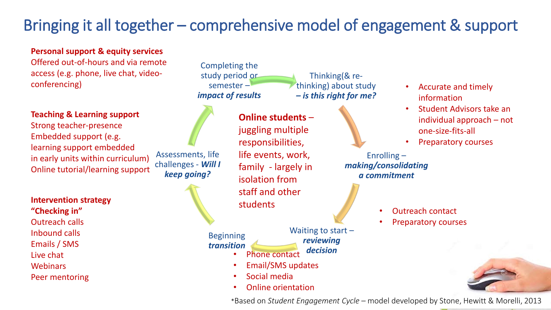## Bringing it all together – comprehensive model of engagement & support

#### **Personal support & equity services**

Offered out-of-hours and via remote access (e.g. phone, live chat, videoconferencing)



#### **Intervention strategy**

**"Checking in"** Outreach calls Inbound calls Emails / SMS Live chat **Webinars** Peer mentoring



#### Beginning *transition*

Waiting to start – *reviewing* 

#### *decision* • Phone contact

- Email/SMS updates
- Social media
- Online orientation

- Accurate and timely information
- Student Advisors take an individual approach – not one-size-fits-all
- Preparatory courses
- Enrolling *making/consolidating a commitment*
	- Outreach contact
	- Preparatory courses



\*Based on *Student Engagement Cycle –* model developed by Stone, Hewitt & Morelli, 2013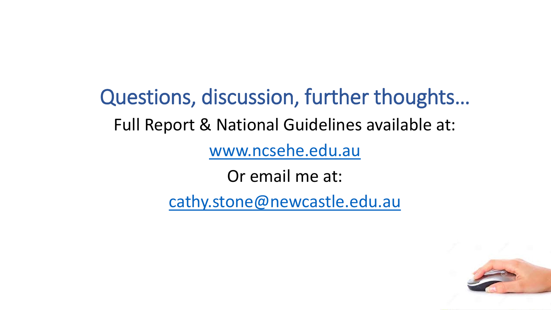Questions, discussion, further thoughts… Full Report & National Guidelines available at: [www.ncsehe.edu.au](http://www.ncsehe.edu.au/)

Or email me at:

[cathy.stone@newcastle.edu.au](mailto:cathy.stone@newcastle.edu.au)